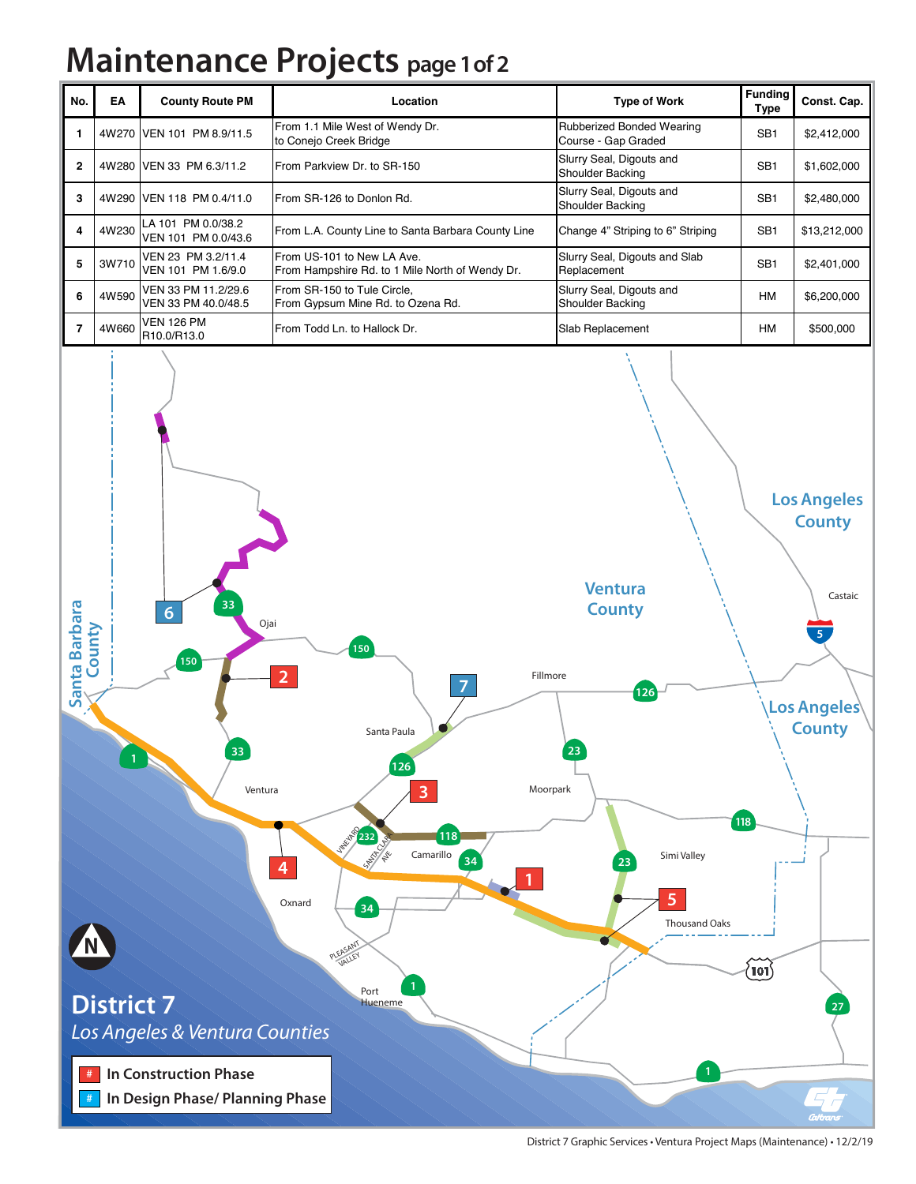## **Maintenance Projects page 1 of 2**

| No.          | EA    | <b>County Route PM</b>                     | Location                                                                      | <b>Type of Work</b>                              | <b>Funding</b><br>Type | Const. Cap.  |
|--------------|-------|--------------------------------------------|-------------------------------------------------------------------------------|--------------------------------------------------|------------------------|--------------|
|              |       | 4W270 VEN 101 PM 8.9/11.5                  | From 1.1 Mile West of Wendy Dr.<br>to Conejo Creek Bridge                     | Rubberized Bonded Wearing<br>Course - Gap Graded | SB <sub>1</sub>        | \$2,412,000  |
| $\mathbf{2}$ |       | 4W280 VEN 33 PM 6.3/11.2                   | From Parkview Dr. to SR-150                                                   | Slurry Seal, Digouts and<br>Shoulder Backing     | SB <sub>1</sub>        | \$1,602,000  |
| 3            |       | 4W290 VEN 118 PM 0.4/11.0                  | From SR-126 to Donlon Rd.                                                     | Slurry Seal, Digouts and<br>Shoulder Backing     | SB <sub>1</sub>        | \$2,480,000  |
| 4            | 4W230 | LA 101 PM 0.0/38.2<br>VEN 101 PM 0.0/43.6  | From L.A. County Line to Santa Barbara County Line                            | Change 4" Striping to 6" Striping                | SB <sub>1</sub>        | \$13,212,000 |
| 5            | 3W710 | VEN 23 PM 3.2/11.4<br>VEN 101 PM 1.6/9.0   | From US-101 to New LA Ave.<br>From Hampshire Rd. to 1 Mile North of Wendy Dr. | Slurry Seal, Digouts and Slab<br>Replacement     | SB <sub>1</sub>        | \$2,401,000  |
| 6            | 4W590 | VEN 33 PM 11.2/29.6<br>VEN 33 PM 40.0/48.5 | From SR-150 to Tule Circle,<br>From Gypsum Mine Rd. to Ozena Rd.              | Slurry Seal, Digouts and<br>Shoulder Backing     | <b>HM</b>              | \$6,200,000  |
|              | 4W660 | <b>VEN 126 PM</b><br>R10.0/R13.0           | From Todd Ln. to Hallock Dr.                                                  | Slab Replacement                                 | <b>HM</b>              | \$500,000    |



District 7 Graphic Services • Ventura Project Maps (Maintenance) • 12/2/19